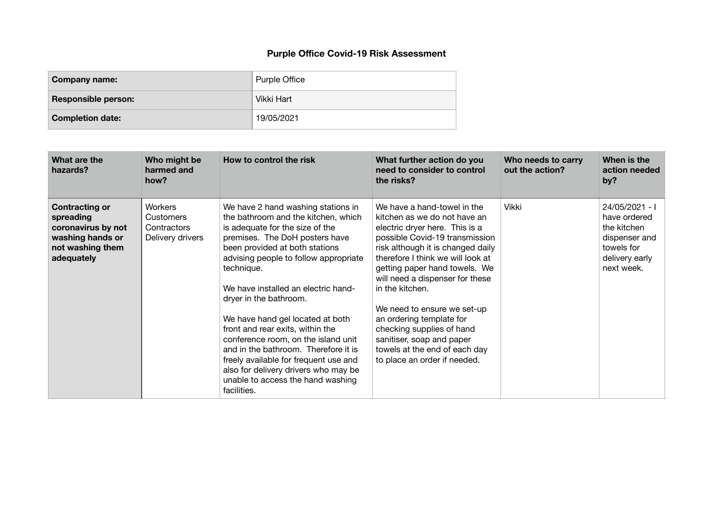## **Purple Office Covid-19 Risk Assessment**

| Company name:              | <b>Purple Office</b> |
|----------------------------|----------------------|
| <b>Responsible person:</b> | Vikki Hart           |
| <b>Completion date:</b>    | 19/05/2021           |

| What are the<br>hazards?                                                                                       | Who might be<br>harmed and<br>how?                                    | How to control the risk                                                                                                                                                                                                                                                                                                                                                                                                                                                                                                                                                                              | What further action do you<br>need to consider to control<br>the risks?                                                                                                                                                                                                                                                                                                                                                                                                                | Who needs to carry<br>out the action? | When is the<br>action needed<br>by?                                                                          |
|----------------------------------------------------------------------------------------------------------------|-----------------------------------------------------------------------|------------------------------------------------------------------------------------------------------------------------------------------------------------------------------------------------------------------------------------------------------------------------------------------------------------------------------------------------------------------------------------------------------------------------------------------------------------------------------------------------------------------------------------------------------------------------------------------------------|----------------------------------------------------------------------------------------------------------------------------------------------------------------------------------------------------------------------------------------------------------------------------------------------------------------------------------------------------------------------------------------------------------------------------------------------------------------------------------------|---------------------------------------|--------------------------------------------------------------------------------------------------------------|
| <b>Contracting or</b><br>spreading<br>coronavirus by not<br>washing hands or<br>not washing them<br>adequately | <b>Workers</b><br><b>Customers</b><br>Contractors<br>Delivery drivers | We have 2 hand washing stations in<br>the bathroom and the kitchen, which<br>is adequate for the size of the<br>premises. The DoH posters have<br>been provided at both stations<br>advising people to follow appropriate<br>technique.<br>We have installed an electric hand-<br>dryer in the bathroom.<br>We have hand gel located at both<br>front and rear exits, within the<br>conference room, on the island unit<br>and in the bathroom. Therefore it is<br>freely available for frequent use and<br>also for delivery drivers who may be<br>unable to access the hand washing<br>facilities. | We have a hand-towel in the<br>kitchen as we do not have an<br>electric dryer here. This is a<br>possible Covid-19 transmission<br>risk although it is changed daily<br>therefore I think we will look at<br>getting paper hand towels. We<br>will need a dispenser for these<br>in the kitchen.<br>We need to ensure we set-up<br>an ordering template for<br>checking supplies of hand<br>sanitiser, soap and paper<br>towels at the end of each day<br>to place an order if needed. | <b>Vikki</b>                          | 24/05/2021 - I<br>have ordered<br>the kitchen<br>dispenser and<br>towels for<br>delivery early<br>next week. |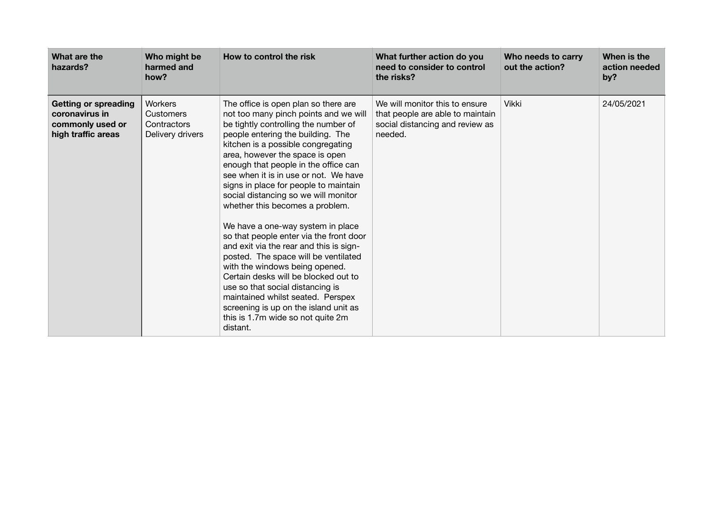| What are the<br>hazards?                                                                | Who might be<br>harmed and<br>how?                                    | How to control the risk                                                                                                                                                                                                                                                                                                                                                                                                                                                                                                                                                                                                                                                                                                                                                                                                                                  | What further action do you<br>need to consider to control<br>the risks?                                          | Who needs to carry<br>out the action? | When is the<br>action needed<br>by? |
|-----------------------------------------------------------------------------------------|-----------------------------------------------------------------------|----------------------------------------------------------------------------------------------------------------------------------------------------------------------------------------------------------------------------------------------------------------------------------------------------------------------------------------------------------------------------------------------------------------------------------------------------------------------------------------------------------------------------------------------------------------------------------------------------------------------------------------------------------------------------------------------------------------------------------------------------------------------------------------------------------------------------------------------------------|------------------------------------------------------------------------------------------------------------------|---------------------------------------|-------------------------------------|
| <b>Getting or spreading</b><br>coronavirus in<br>commonly used or<br>high traffic areas | <b>Workers</b><br><b>Customers</b><br>Contractors<br>Delivery drivers | The office is open plan so there are<br>not too many pinch points and we will<br>be tightly controlling the number of<br>people entering the building. The<br>kitchen is a possible congregating<br>area, however the space is open<br>enough that people in the office can<br>see when it is in use or not. We have<br>signs in place for people to maintain<br>social distancing so we will monitor<br>whether this becomes a problem.<br>We have a one-way system in place<br>so that people enter via the front door<br>and exit via the rear and this is sign-<br>posted. The space will be ventilated<br>with the windows being opened.<br>Certain desks will be blocked out to<br>use so that social distancing is<br>maintained whilst seated. Perspex<br>screening is up on the island unit as<br>this is 1.7m wide so not quite 2m<br>distant. | We will monitor this to ensure<br>that people are able to maintain<br>social distancing and review as<br>needed. | <b>Vikki</b>                          | 24/05/2021                          |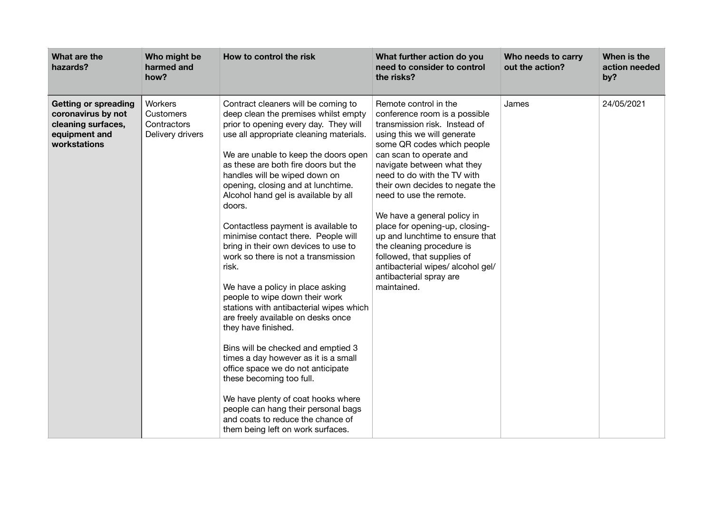| What are the<br>hazards?                                                                                 | Who might be<br>harmed and<br>how?                             | How to control the risk                                                                                                                                                                                                                                                                                                                                                                                                                                                                                                                                                                                                                                                                                                                                                                                                                                                                                                                                                                                                            | What further action do you<br>need to consider to control<br>the risks?                                                                                                                                                                                                                                                                                                                                                                                                                                                                                  | Who needs to carry<br>out the action? | When is the<br>action needed<br>by? |
|----------------------------------------------------------------------------------------------------------|----------------------------------------------------------------|------------------------------------------------------------------------------------------------------------------------------------------------------------------------------------------------------------------------------------------------------------------------------------------------------------------------------------------------------------------------------------------------------------------------------------------------------------------------------------------------------------------------------------------------------------------------------------------------------------------------------------------------------------------------------------------------------------------------------------------------------------------------------------------------------------------------------------------------------------------------------------------------------------------------------------------------------------------------------------------------------------------------------------|----------------------------------------------------------------------------------------------------------------------------------------------------------------------------------------------------------------------------------------------------------------------------------------------------------------------------------------------------------------------------------------------------------------------------------------------------------------------------------------------------------------------------------------------------------|---------------------------------------|-------------------------------------|
| <b>Getting or spreading</b><br>coronavirus by not<br>cleaning surfaces,<br>equipment and<br>workstations | Workers<br><b>Customers</b><br>Contractors<br>Delivery drivers | Contract cleaners will be coming to<br>deep clean the premises whilst empty<br>prior to opening every day. They will<br>use all appropriate cleaning materials.<br>We are unable to keep the doors open<br>as these are both fire doors but the<br>handles will be wiped down on<br>opening, closing and at lunchtime.<br>Alcohol hand gel is available by all<br>doors.<br>Contactless payment is available to<br>minimise contact there. People will<br>bring in their own devices to use to<br>work so there is not a transmission<br>risk.<br>We have a policy in place asking<br>people to wipe down their work<br>stations with antibacterial wipes which<br>are freely available on desks once<br>they have finished.<br>Bins will be checked and emptied 3<br>times a day however as it is a small<br>office space we do not anticipate<br>these becoming too full.<br>We have plenty of coat hooks where<br>people can hang their personal bags<br>and coats to reduce the chance of<br>them being left on work surfaces. | Remote control in the<br>conference room is a possible<br>transmission risk. Instead of<br>using this we will generate<br>some QR codes which people<br>can scan to operate and<br>navigate between what they<br>need to do with the TV with<br>their own decides to negate the<br>need to use the remote.<br>We have a general policy in<br>place for opening-up, closing-<br>up and lunchtime to ensure that<br>the cleaning procedure is<br>followed, that supplies of<br>antibacterial wipes/ alcohol gel/<br>antibacterial spray are<br>maintained. | James                                 | 24/05/2021                          |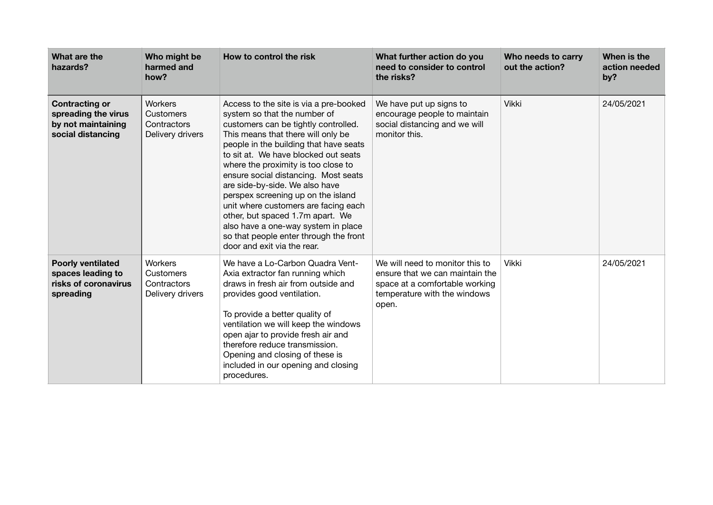| What are the<br>hazards?                                                                | Who might be<br>harmed and<br>how?                      | How to control the risk                                                                                                                                                                                                                                                                                                                                                                                                                                                                                                                                                                   | What further action do you<br>need to consider to control<br>the risks?                                                                       | Who needs to carry<br>out the action? | When is the<br>action needed<br>by? |
|-----------------------------------------------------------------------------------------|---------------------------------------------------------|-------------------------------------------------------------------------------------------------------------------------------------------------------------------------------------------------------------------------------------------------------------------------------------------------------------------------------------------------------------------------------------------------------------------------------------------------------------------------------------------------------------------------------------------------------------------------------------------|-----------------------------------------------------------------------------------------------------------------------------------------------|---------------------------------------|-------------------------------------|
| <b>Contracting or</b><br>spreading the virus<br>by not maintaining<br>social distancing | Workers<br>Customers<br>Contractors<br>Delivery drivers | Access to the site is via a pre-booked<br>system so that the number of<br>customers can be tightly controlled.<br>This means that there will only be<br>people in the building that have seats<br>to sit at. We have blocked out seats<br>where the proximity is too close to<br>ensure social distancing. Most seats<br>are side-by-side. We also have<br>perspex screening up on the island<br>unit where customers are facing each<br>other, but spaced 1.7m apart. We<br>also have a one-way system in place<br>so that people enter through the front<br>door and exit via the rear. | We have put up signs to<br>encourage people to maintain<br>social distancing and we will<br>monitor this.                                     | <b>Vikki</b>                          | 24/05/2021                          |
| <b>Poorly ventilated</b><br>spaces leading to<br>risks of coronavirus<br>spreading      | Workers<br>Customers<br>Contractors<br>Delivery drivers | We have a Lo-Carbon Quadra Vent-<br>Axia extractor fan running which<br>draws in fresh air from outside and<br>provides good ventilation.<br>To provide a better quality of<br>ventilation we will keep the windows<br>open ajar to provide fresh air and<br>therefore reduce transmission.<br>Opening and closing of these is<br>included in our opening and closing<br>procedures.                                                                                                                                                                                                      | We will need to monitor this to<br>ensure that we can maintain the<br>space at a comfortable working<br>temperature with the windows<br>open. | <b>Vikki</b>                          | 24/05/2021                          |